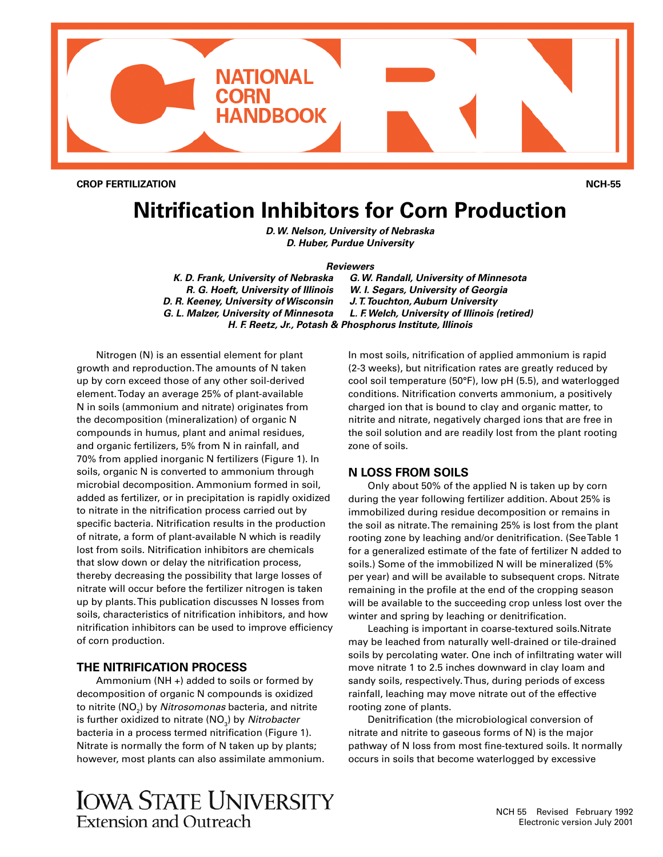

**CROP FERTILIZATION NCH-55**

# **Nitrification Inhibitors for Corn Production**

*D. W. Nelson, University of Nebraska D. Huber, Purdue University*

#### *Reviewers*

*K. D. Frank, University of Nebraska G. W. Randall, University of Minnesota R. G. Hoeft, University of Illinois W. I. Segars, University of Georgia D. R. Keeney, University of Wisconsin J. T. Touchton, Auburn University G. L. Malzer, University of Minnesota L. F. Welch, University of Illinois (retired) H. F. Reetz, Jr., Potash & Phosphorus Institute, Illinois*

Nitrogen (N) is an essential element for plant growth and reproduction. The amounts of N taken up by corn exceed those of any other soil-derived element. Today an average 25% of plant-available N in soils (ammonium and nitrate) originates from the decomposition (mineralization) of organic N compounds in humus, plant and animal residues, and organic fertilizers, 5% from N in rainfall, and 70% from applied inorganic N fertilizers (Figure 1). In soils, organic N is converted to ammonium through microbial decomposition. Ammonium formed in soil, added as fertilizer, or in precipitation is rapidly oxidized to nitrate in the nitrification process carried out by specific bacteria. Nitrification results in the production of nitrate, a form of plant-available N which is readily lost from soils. Nitrification inhibitors are chemicals that slow down or delay the nitrification process, thereby decreasing the possibility that large losses of nitrate will occur before the fertilizer nitrogen is taken up by plants. This publication discusses N losses from soils, characteristics of nitrification inhibitors, and how nitrification inhibitors can be used to improve efficiency of corn production.

# **THE NITRIFICATION PROCESS**

Ammonium (NH +) added to soils or formed by decomposition of organic N compounds is oxidized to nitrite (NO<sub>2</sub>) by *Nitrosomonas* bacteria, and nitrite is further oxidized to nitrate (NO<sub>3</sub>) by *Nitrobacter* bacteria in a process termed nitrification (Figure 1). Nitrate is normally the form of N taken up by plants; however, most plants can also assimilate ammonium. In most soils, nitrification of applied ammonium is rapid (2-3 weeks), but nitrification rates are greatly reduced by cool soil temperature (50°F), low pH (5.5), and waterlogged conditions. Nitrification converts ammonium, a positively charged ion that is bound to clay and organic matter, to nitrite and nitrate, negatively charged ions that are free in the soil solution and are readily lost from the plant rooting zone of soils.

## **N LOSS FROM SOILS**

Only about 50% of the applied N is taken up by corn during the year following fertilizer addition. About 25% is immobilized during residue decomposition or remains in the soil as nitrate. The remaining 25% is lost from the plant rooting zone by leaching and/or denitrification. (See Table 1 for a generalized estimate of the fate of fertilizer N added to soils.) Some of the immobilized N will be mineralized (5% per year) and will be available to subsequent crops. Nitrate remaining in the profile at the end of the cropping season will be available to the succeeding crop unless lost over the winter and spring by leaching or denitrification.

Leaching is important in coarse-textured soils.Nitrate may be leached from naturally well-drained or tile-drained soils by percolating water. One inch of infiltrating water will move nitrate 1 to 2.5 inches downward in clay loam and sandy soils, respectively. Thus, during periods of excess rainfall, leaching may move nitrate out of the effective rooting zone of plants.

Denitrification (the microbiological conversion of nitrate and nitrite to gaseous forms of N) is the major pathway of N loss from most fine-textured soils. It normally occurs in soils that become waterlogged by excessive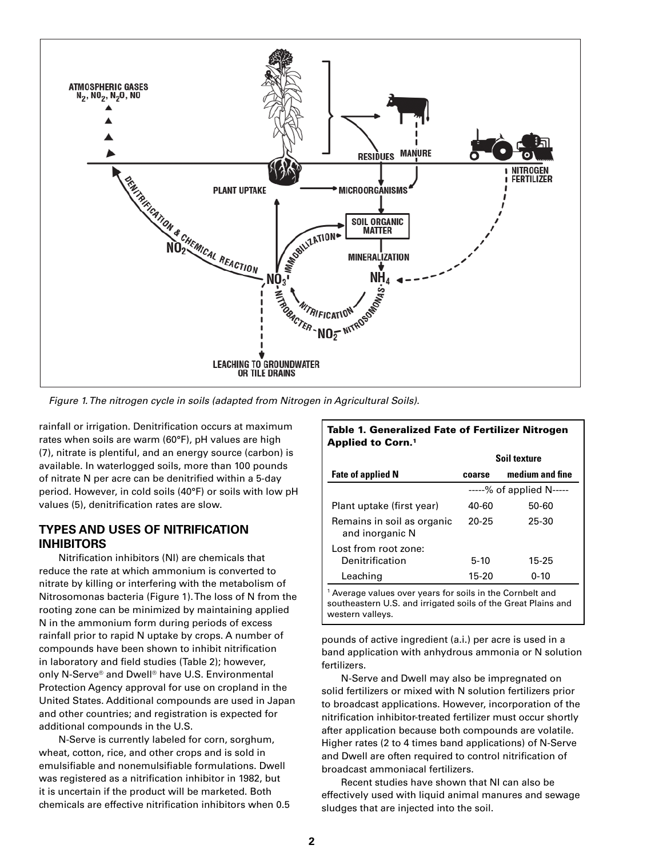

*Figure 1. The nitrogen cycle in soils (adapted from Nitrogen in Agricultural Soils).*

rainfall or irrigation. Denitrification occurs at maximum rates when soils are warm (60°F), pH values are high (7), nitrate is plentiful, and an energy source (carbon) is available. In waterlogged soils, more than 100 pounds of nitrate N per acre can be denitrified within a 5-day period. However, in cold soils (40°F) or soils with low pH values (5), denitrification rates are slow.

## **TYPES AND USES OF NITRIFICATION INHIBITORS**

Nitrification inhibitors (NI) are chemicals that reduce the rate at which ammonium is converted to nitrate by killing or interfering with the metabolism of Nitrosomonas bacteria (Figure 1). The loss of N from the rooting zone can be minimized by maintaining applied N in the ammonium form during periods of excess rainfall prior to rapid N uptake by crops. A number of compounds have been shown to inhibit nitrification in laboratory and field studies (Table 2); however, only N-Serve® and Dwell® have U.S. Environmental Protection Agency approval for use on cropland in the United States. Additional compounds are used in Japan and other countries; and registration is expected for additional compounds in the U.S.

N-Serve is currently labeled for corn, sorghum, wheat, cotton, rice, and other crops and is sold in emulsifiable and nonemulsifiable formulations. Dwell was registered as a nitrification inhibitor in 1982, but it is uncertain if the product will be marketed. Both chemicals are effective nitrification inhibitors when 0.5

| <b>Applied to Corn.<sup>1</sup></b>                                                                                                                       |        |                           |  |
|-----------------------------------------------------------------------------------------------------------------------------------------------------------|--------|---------------------------|--|
|                                                                                                                                                           |        | Soil texture              |  |
| <b>Fate of applied N</b>                                                                                                                                  | coarse | medium and fine           |  |
|                                                                                                                                                           |        | $---%$ of applied N $---$ |  |
| Plant uptake (first year)                                                                                                                                 | 40-60  | 50-60                     |  |
| Remains in soil as organic<br>and inorganic N                                                                                                             | 20-25  | 25-30                     |  |
| Lost from root zone:<br>Denitrification                                                                                                                   | $5-10$ | 15-25                     |  |
| Leaching                                                                                                                                                  | 15-20  | $0 - 10$                  |  |
| <sup>1</sup> Average values over years for soils in the Cornbelt and<br>southeastern U.S. and irrigated soils of the Great Plains and<br>western vallevs. |        |                           |  |

Table 1. Generalized Fate of Fertilizer Nitrogen

pounds of active ingredient (a.i.) per acre is used in a band application with anhydrous ammonia or N solution fertilizers.

N-Serve and Dwell may also be impregnated on solid fertilizers or mixed with N solution fertilizers prior to broadcast applications. However, incorporation of the nitrification inhibitor-treated fertilizer must occur shortly after application because both compounds are volatile. Higher rates (2 to 4 times band applications) of N-Serve and Dwell are often required to control nitrification of broadcast ammoniacal fertilizers.

Recent studies have shown that NI can also be effectively used with liquid animal manures and sewage sludges that are injected into the soil.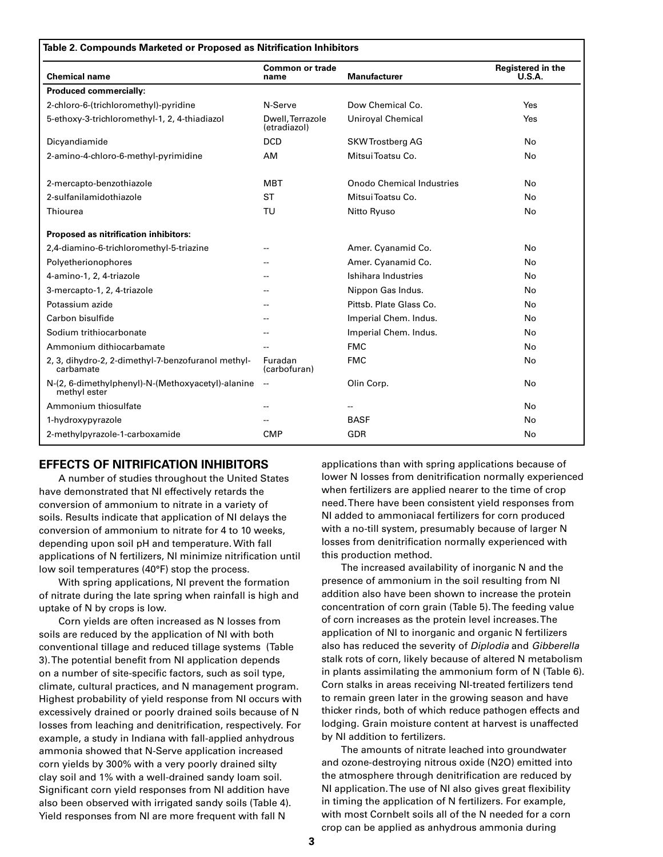| Table 2. Compounds Marketed or Proposed as Nitrification Inhibitors |                                  |                           |                             |
|---------------------------------------------------------------------|----------------------------------|---------------------------|-----------------------------|
| <b>Chemical name</b>                                                | <b>Common or trade</b><br>name   | <b>Manufacturer</b>       | Registered in the<br>U.S.A. |
| <b>Produced commercially:</b>                                       |                                  |                           |                             |
| 2-chloro-6-(trichloromethyl)-pyridine                               | N-Serve                          | Dow Chemical Co.          | Yes                         |
| 5-ethoxy-3-trichloromethyl-1, 2, 4-thiadiazol                       | Dwell, Terrazole<br>(etradiazol) | Uniroyal Chemical         | Yes                         |
| Dicyandiamide                                                       | <b>DCD</b>                       | <b>SKWTrostberg AG</b>    | <b>No</b>                   |
| 2-amino-4-chloro-6-methyl-pyrimidine                                | AM                               | Mitsui Toatsu Co.         | No                          |
| 2-mercapto-benzothiazole                                            | <b>MBT</b>                       | Onodo Chemical Industries | <b>No</b>                   |
| 2-sulfanilamidothiazole                                             | <b>ST</b>                        | Mitsui Toatsu Co.         | No                          |
| Thiourea                                                            | TU                               | Nitto Ryuso               | No                          |
| Proposed as nitrification inhibitors:                               |                                  |                           |                             |
| 2,4-diamino-6-trichloromethyl-5-triazine                            | --                               | Amer. Cyanamid Co.        | No                          |
| Polyetherionophores                                                 |                                  | Amer. Cyanamid Co.        | No.                         |
| 4-amino-1, 2, 4-triazole                                            |                                  | Ishihara Industries       | No                          |
| 3-mercapto-1, 2, 4-triazole                                         | --                               | Nippon Gas Indus.         | No                          |
| Potassium azide                                                     |                                  | Pittsb. Plate Glass Co.   | No.                         |
| Carbon bisulfide                                                    |                                  | Imperial Chem. Indus.     | No                          |
| Sodium trithiocarbonate                                             |                                  | Imperial Chem. Indus.     | No                          |
| Ammonium dithiocarbamate                                            |                                  | <b>FMC</b>                | No                          |
| 2, 3, dihydro-2, 2-dimethyl-7-benzofuranol methyl-<br>carbamate     | Furadan<br>(carbofuran)          | <b>FMC</b>                | No                          |
| N-(2, 6-dimethylphenyl)-N-(Methoxyacetyl)-alanine<br>methyl ester   | --                               | Olin Corp.                | No                          |
| Ammonium thiosulfate                                                |                                  |                           | No                          |
| 1-hydroxypyrazole                                                   |                                  | <b>BASF</b>               | No                          |
| 2-methylpyrazole-1-carboxamide                                      | <b>CMP</b>                       | <b>GDR</b>                | No                          |

## **EFFECTS OF NITRIFICATION INHIBITORS**

A number of studies throughout the United States have demonstrated that NI effectively retards the conversion of ammonium to nitrate in a variety of soils. Results indicate that application of NI delays the conversion of ammonium to nitrate for 4 to 10 weeks, depending upon soil pH and temperature. With fall applications of N fertilizers, NI minimize nitrification until low soil temperatures (40°F) stop the process.

With spring applications, NI prevent the formation of nitrate during the late spring when rainfall is high and uptake of N by crops is low.

Corn yields are often increased as N losses from soils are reduced by the application of NI with both conventional tillage and reduced tillage systems (Table 3). The potential benefit from NI application depends on a number of site-specific factors, such as soil type, climate, cultural practices, and N management program. Highest probability of yield response from NI occurs with excessively drained or poorly drained soils because of N losses from leaching and denitrification, respectively. For example, a study in Indiana with fall-applied anhydrous ammonia showed that N-Serve application increased corn yields by 300% with a very poorly drained silty clay soil and 1% with a well-drained sandy loam soil. Significant corn yield responses from NI addition have also been observed with irrigated sandy soils (Table 4). Yield responses from NI are more frequent with fall N

applications than with spring applications because of lower N losses from denitrification normally experienced when fertilizers are applied nearer to the time of crop need. There have been consistent yield responses from NI added to ammoniacal fertilizers for corn produced with a no-till system, presumably because of larger N losses from denitrification normally experienced with this production method.

The increased availability of inorganic N and the presence of ammonium in the soil resulting from NI addition also have been shown to increase the protein concentration of corn grain (Table 5). The feeding value of corn increases as the protein level increases. The application of NI to inorganic and organic N fertilizers also has reduced the severity of *Diplodia* and *Gibberella* stalk rots of corn, likely because of altered N metabolism in plants assimilating the ammonium form of N (Table 6). Corn stalks in areas receiving NI-treated fertilizers tend to remain green later in the growing season and have thicker rinds, both of which reduce pathogen effects and lodging. Grain moisture content at harvest is unaffected by NI addition to fertilizers.

The amounts of nitrate leached into groundwater and ozone-destroying nitrous oxide (N2O) emitted into the atmosphere through denitrification are reduced by NI application. The use of NI also gives great flexibility in timing the application of N fertilizers. For example, with most Cornbelt soils all of the N needed for a corn crop can be applied as anhydrous ammonia during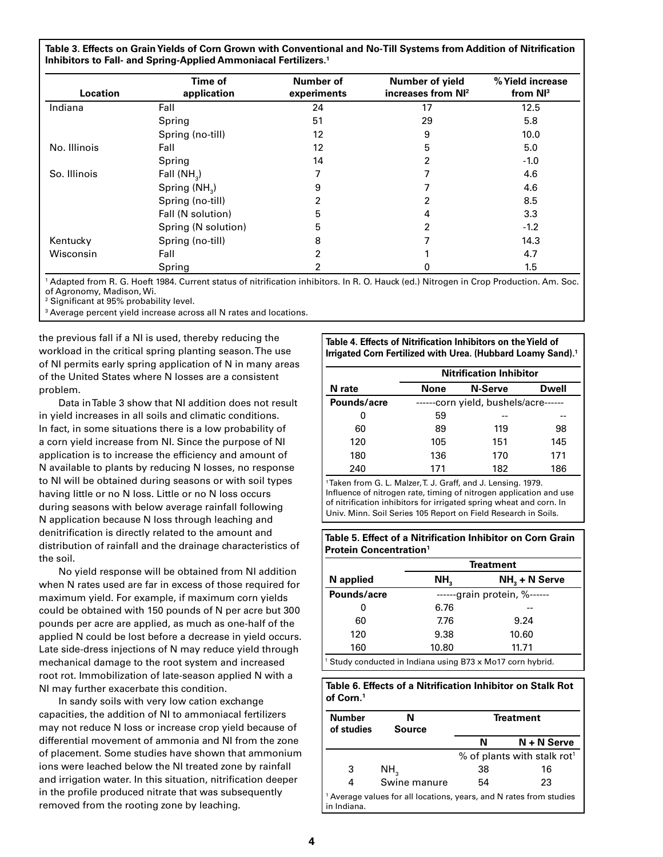**Table 3. Effects on Grain Yields of Corn Grown with Conventional and No-Till Systems from Addition of Nitrification Inhibitors to Fall- and Spring-Applied Ammoniacal Fertilizers.1**

| Location     | Time of<br>application    | Number of<br>experiments | Number of yield<br>increases from NI <sup>2</sup> | % Yield increase<br>from $Nl3$ |
|--------------|---------------------------|--------------------------|---------------------------------------------------|--------------------------------|
| Indiana      | Fall                      | 24                       | 17                                                | 12.5                           |
|              | Spring                    | 51                       | 29                                                | 5.8                            |
|              | Spring (no-till)          | 12                       | 9                                                 | 10.0                           |
| No. Illinois | Fall                      | 12                       | 5                                                 | 5.0                            |
|              | Spring                    | 14                       | 2                                                 | $-1.0$                         |
| So. Illinois | Fall $(NH2)$              | 7                        |                                                   | 4.6                            |
|              | Spring (NH <sub>2</sub> ) | 9                        |                                                   | 4.6                            |
|              | Spring (no-till)          | 2                        | 2                                                 | 8.5                            |
|              | Fall (N solution)         | 5                        | 4                                                 | 3.3                            |
|              | Spring (N solution)       | 5                        | 2                                                 | $-1.2$                         |
| Kentucky     | Spring (no-till)          | 8                        |                                                   | 14.3                           |
| Wisconsin    | Fall                      | $\overline{2}$           |                                                   | 4.7                            |
|              | Spring                    | 2                        | 0                                                 | 1.5                            |

1 Adapted from R. G. Hoeft 1984. Current status of nitrification inhibitors. In R. O. Hauck (ed.) Nitrogen in Crop Production. Am. Soc. of Agronomy, Madison, Wi.

2 Significant at 95% probability level.

3 Average percent yield increase across all N rates and locations.

the previous fall if a NI is used, thereby reducing the workload in the critical spring planting season. The use of NI permits early spring application of N in many areas of the United States where N losses are a consistent problem.

Data in Table 3 show that NI addition does not result in yield increases in all soils and climatic conditions. In fact, in some situations there is a low probability of a corn yield increase from NI. Since the purpose of NI application is to increase the efficiency and amount of N available to plants by reducing N losses, no response to NI will be obtained during seasons or with soil types having little or no N loss. Little or no N loss occurs during seasons with below average rainfall following N application because N loss through leaching and denitrification is directly related to the amount and distribution of rainfall and the drainage characteristics of the soil.

No yield response will be obtained from NI addition when N rates used are far in excess of those required for maximum yield. For example, if maximum corn yields could be obtained with 150 pounds of N per acre but 300 pounds per acre are applied, as much as one-half of the applied N could be lost before a decrease in yield occurs. Late side-dress injections of N may reduce yield through mechanical damage to the root system and increased root rot. Immobilization of late-season applied N with a NI may further exacerbate this condition.

In sandy soils with very low cation exchange capacities, the addition of NI to ammoniacal fertilizers may not reduce N loss or increase crop yield because of differential movement of ammonia and NI from the zone of placement. Some studies have shown that ammonium ions were leached below the NI treated zone by rainfall and irrigation water. In this situation, nitrification deeper in the profile produced nitrate that was subsequently removed from the rooting zone by leaching.

**Table 4. Effects of Nitrification Inhibitors on the Yield of Irrigated Corn Fertilized with Urea. (Hubbard Loamy Sand).1**

|             |      | <b>Nitrification Inhibitor</b>  |       |
|-------------|------|---------------------------------|-------|
| N rate      | None | <b>N-Serve</b>                  | Dwell |
| Pounds/acre |      | -corn yield, bushels/acre------ |       |
| o           | 59   |                                 |       |
| 60          | 89   | 119                             | 98    |
| 120         | 105  | 151                             | 145   |
| 180         | 136  | 170                             | 171   |
| 240         | 171  | 182                             | 186   |

1 Taken from G. L. Malzer, T. J. Graff, and J. Lensing. 1979. Influence of nitrogen rate, timing of nitrogen application and use of nitrification inhibitors for irrigated spring wheat and corn. In Univ. Minn. Soil Series 105 Report on Field Research in Soils.

**Table 5. Effect of a Nitrification Inhibitor on Corn Grain Protein Concentration1**

|                                                                       | <b>Treatment</b> |                         |
|-----------------------------------------------------------------------|------------------|-------------------------|
| N applied                                                             | NH,              | $NH3 + N$ Serve         |
| Pounds/acre                                                           |                  | -grain protein, %------ |
|                                                                       | 6.76             |                         |
| 60                                                                    | 7.76             | 9.24                    |
| 120                                                                   | 9.38             | 10.60                   |
| 160                                                                   | 10.80            | 11.71                   |
| <sup>1</sup> Study conducted in Indiana using B73 x Mo17 corn hybrid. |                  |                         |

#### **Table 6. Effects of a Nitrification Inhibitor on Stalk Rot of Corn.1**

| <b>Number</b><br>of studies | N<br><b>Source</b>                                                          |    | <b>Treatment</b>                        |
|-----------------------------|-----------------------------------------------------------------------------|----|-----------------------------------------|
|                             |                                                                             | N  | N + N Serve                             |
|                             |                                                                             |    | % of plants with stalk rot <sup>1</sup> |
| 3                           | NH <sub>3</sub>                                                             | 38 | 16                                      |
| 4                           | Swine manure                                                                | 54 | 23                                      |
| l in Indiana.               | $\vert$ 1 Average values for all locations, years, and N rates from studies |    |                                         |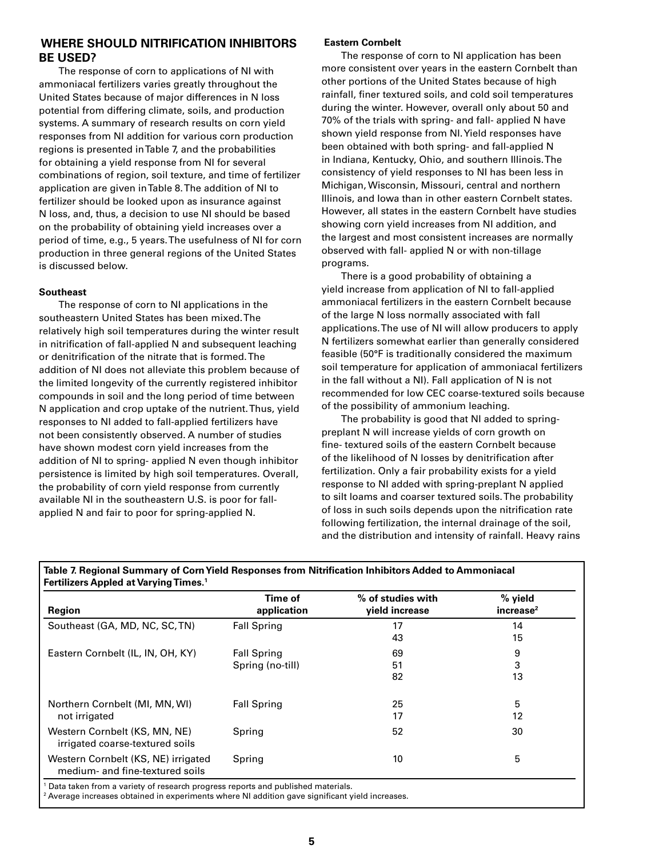# **WHERE SHOULD NITRIFICATION INHIBITORS BE USED?**

The response of corn to applications of NI with ammoniacal fertilizers varies greatly throughout the United States because of major differences in N loss potential from differing climate, soils, and production systems. A summary of research results on corn yield responses from NI addition for various corn production regions is presented in Table 7, and the probabilities for obtaining a yield response from NI for several combinations of region, soil texture, and time of fertilizer application are given in Table 8. The addition of NI to fertilizer should be looked upon as insurance against N loss, and, thus, a decision to use NI should be based on the probability of obtaining yield increases over a period of time, e.g., 5 years. The usefulness of NI for corn production in three general regions of the United States is discussed below.

#### **Southeast**

The response of corn to NI applications in the southeastern United States has been mixed. The relatively high soil temperatures during the winter result in nitrification of fall-applied N and subsequent leaching or denitrification of the nitrate that is formed. The addition of NI does not alleviate this problem because of the limited longevity of the currently registered inhibitor compounds in soil and the long period of time between N application and crop uptake of the nutrient. Thus, yield responses to NI added to fall-applied fertilizers have not been consistently observed. A number of studies have shown modest corn yield increases from the addition of NI to spring- applied N even though inhibitor persistence is limited by high soil temperatures. Overall, the probability of corn yield response from currently available NI in the southeastern U.S. is poor for fallapplied N and fair to poor for spring-applied N.

#### **Eastern Cornbelt**

The response of corn to NI application has been more consistent over years in the eastern Cornbelt than other portions of the United States because of high rainfall, finer textured soils, and cold soil temperatures during the winter. However, overall only about 50 and 70% of the trials with spring- and fall- applied N have shown yield response from NI. Yield responses have been obtained with both spring- and fall-applied N in Indiana, Kentucky, Ohio, and southern Illinois. The consistency of yield responses to NI has been less in Michigan, Wisconsin, Missouri, central and northern Illinois, and Iowa than in other eastern Cornbelt states. However, all states in the eastern Cornbelt have studies showing corn yield increases from NI addition, and the largest and most consistent increases are normally observed with fall- applied N or with non-tillage programs.

There is a good probability of obtaining a yield increase from application of NI to fall-applied ammoniacal fertilizers in the eastern Cornbelt because of the large N loss normally associated with fall applications. The use of NI will allow producers to apply N fertilizers somewhat earlier than generally considered feasible (50°F is traditionally considered the maximum soil temperature for application of ammoniacal fertilizers in the fall without a NI). Fall application of N is not recommended for low CEC coarse-textured soils because of the possibility of ammonium leaching.

The probability is good that NI added to springpreplant N will increase yields of corn growth on fine- textured soils of the eastern Cornbelt because of the likelihood of N losses by denitrification after fertilization. Only a fair probability exists for a yield response to NI added with spring-preplant N applied to silt loams and coarser textured soils. The probability of loss in such soils depends upon the nitrification rate following fertilization, the internal drainage of the soil, and the distribution and intensity of rainfall. Heavy rains

| Region                                                                 | Time of<br>application                 | % of studies with<br>yield increase | % yield<br>increase <sup>2</sup> |
|------------------------------------------------------------------------|----------------------------------------|-------------------------------------|----------------------------------|
| Southeast (GA, MD, NC, SC, TN)                                         | <b>Fall Spring</b>                     | 17<br>43                            | 14<br>15                         |
| Eastern Cornbelt (IL, IN, OH, KY)                                      | <b>Fall Spring</b><br>Spring (no-till) | 69<br>51<br>82                      | 9<br>3<br>13                     |
| Northern Cornbelt (MI, MN, WI)<br>not irrigated                        | <b>Fall Spring</b>                     | 25<br>17                            | 5<br>12                          |
| Western Cornbelt (KS, MN, NE)<br>irrigated coarse-textured soils       | Spring                                 | 52                                  | 30                               |
| Western Cornbelt (KS, NE) irrigated<br>medium- and fine-textured soils | Spring                                 | 10                                  | 5                                |

**Table 7. Regional Summary of Corn Yield Responses from Nitrification Inhibitors Added to Ammoniacal Fertilizers Appled at Varying Times.1**

Data taken from a variety of research progress reports and published materials.

2 Average increases obtained in experiments where NI addition gave significant yield increases.